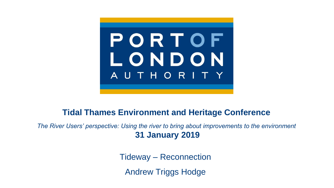

#### **Tidal Thames Environment and Heritage Conference**

*The River Users' perspective: Using the river to bring about improvements to the environment* **31 January 2019**

Tideway – Reconnection

Andrew Triggs Hodge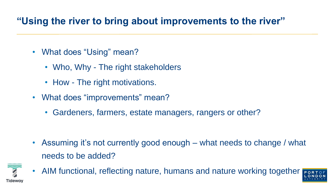## **"Using the river to bring about improvements to the river"**

- What does "Using" mean?
	- Who, Why The right stakeholders
	- How The right motivations.
- What does "improvements" mean?
	- Gardeners, farmers, estate managers, rangers or other?

• Assuming it's not currently good enough – what needs to change / what needs to be added?



• AIM functional, reflecting nature, humans and nature working together

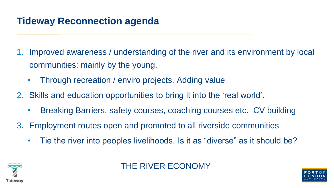## **Tideway Reconnection agenda**

- 1. Improved awareness / understanding of the river and its environment by local communities: mainly by the young.
	- Through recreation / enviro projects. Adding value
- 2. Skills and education opportunities to bring it into the 'real world'.
	- Breaking Barriers, safety courses, coaching courses etc. CV building
- 3. Employment routes open and promoted to all riverside communities
	- Tie the river into peoples livelihoods. Is it as "diverse" as it should be?



#### THE RIVER ECONOMY

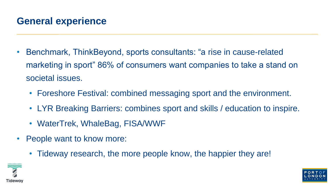## **General experience**

- Benchmark, ThinkBeyond, sports consultants: "a rise in cause-related marketing in sport" 86% of consumers want companies to take a stand on societal issues.
	- Foreshore Festival: combined messaging sport and the environment.
	- LYR Breaking Barriers: combines sport and skills / education to inspire.
	- WaterTrek, WhaleBag, FISA/WWF
- People want to know more:
	- Tideway research, the more people know, the happier they are!



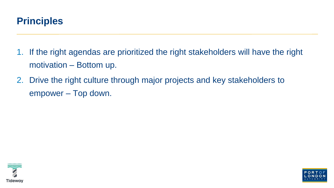

- 1. If the right agendas are prioritized the right stakeholders will have the right motivation – Bottom up.
- 2. Drive the right culture through major projects and key stakeholders to empower – Top down.



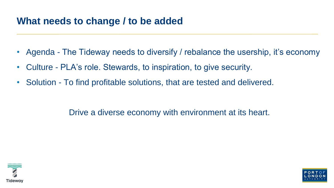### **What needs to change / to be added**

- Agenda The Tideway needs to diversify / rebalance the usership, it's economy
- Culture PLA's role. Stewards, to inspiration, to give security.
- Solution To find profitable solutions, that are tested and delivered.

Drive a diverse economy with environment at its heart.